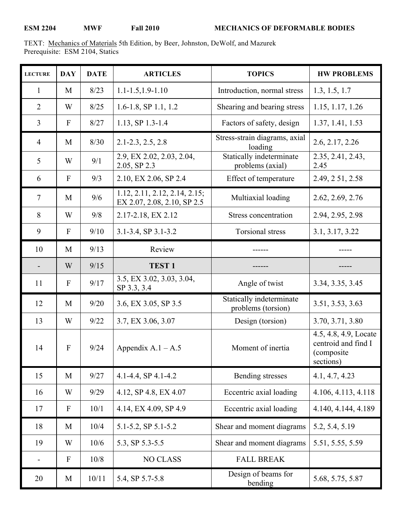TEXT: Mechanics of Materials 5th Edition, by Beer, Johnston, DeWolf, and Mazurek Prerequisite: ESM 2104, Statics

| <b>LECTURE</b> | <b>DAY</b>   | <b>DATE</b> | <b>ARTICLES</b>                                              | <b>TOPICS</b>                                  | <b>HW PROBLEMS</b>                                                       |
|----------------|--------------|-------------|--------------------------------------------------------------|------------------------------------------------|--------------------------------------------------------------------------|
| 1              | M            | 8/23        | $1.1 - 1.5, 1.9 - 1.10$                                      | Introduction, normal stress                    | 1.3, 1.5, 1.7                                                            |
| $\overline{2}$ | W            | 8/25        | 1.6-1.8, SP 1.1, 1.2                                         | Shearing and bearing stress                    | 1.15, 1.17, 1.26                                                         |
| $\overline{3}$ | $\mathbf{F}$ | 8/27        | 1.13, SP 1.3-1.4                                             | Factors of safety, design                      | 1.37, 1.41, 1.53                                                         |
| $\overline{4}$ | M            | 8/30        | $2.1 - 2.3, 2.5, 2.8$                                        | Stress-strain diagrams, axial<br>loading       | 2.6, 2.17, 2.26                                                          |
| 5              | W            | 9/1         | 2.9, EX 2.02, 2.03, 2.04,<br>2.05, SP 2.3                    | Statically indeterminate<br>problems (axial)   | 2.35, 2.41, 2.43,<br>2.45                                                |
| 6              | $\mathbf{F}$ | 9/3         | 2.10, EX 2.06, SP 2.4                                        | Effect of temperature                          | 2.49, 251, 2.58                                                          |
| $\overline{7}$ | M            | 9/6         | 1.12, 2.11, 2.12, 2.14, 2.15;<br>EX 2.07, 2.08, 2.10, SP 2.5 | Multiaxial loading                             | 2.62, 2.69, 2.76                                                         |
| 8              | W            | 9/8         | 2.17-2.18, EX 2.12                                           | Stress concentration                           | 2.94, 2.95, 2.98                                                         |
| 9              | $\mathbf{F}$ | 9/10        | 3.1-3.4, SP 3.1-3.2                                          | <b>Torsional stress</b>                        | 3.1, 3.17, 3.22                                                          |
| 10             | M            | 9/13        | Review                                                       |                                                |                                                                          |
|                | W            | 9/15        | <b>TEST1</b>                                                 |                                                |                                                                          |
| 11             | $\mathbf{F}$ | 9/17        | 3.5, EX 3.02, 3.03, 3.04,<br>SP 3.3, 3.4                     | Angle of twist                                 | 3.34, 3.35, 3.45                                                         |
| 12             | M            | 9/20        | 3.6, EX 3.05, SP 3.5                                         | Statically indeterminate<br>problems (torsion) | 3.51, 3.53, 3.63                                                         |
| 13             | W            | 9/22        | 3.7, EX 3.06, 3.07                                           | Design (torsion)                               | 3.70, 3.71, 3.80                                                         |
| 14             | $\mathbf{F}$ | 9/24        | Appendix $A.1 - A.5$                                         | Moment of inertia                              | 4.5, 4.8, 4.9, Locate<br>centroid and find I<br>(composite)<br>sections) |
| 15             | M            | 9/27        | 4.1-4.4, SP 4.1-4.2                                          | Bending stresses                               | 4.1, 4.7, 4.23                                                           |
| 16             | W            | 9/29        | 4.12, SP 4.8, EX 4.07                                        | Eccentric axial loading                        | 4.106, 4.113, 4.118                                                      |
| 17             | $\mathbf F$  | 10/1        | 4.14, EX 4.09, SP 4.9                                        | Eccentric axial loading                        | 4.140, 4.144, 4.189                                                      |
| 18             | M            | 10/4        | 5.1-5.2, SP 5.1-5.2                                          | Shear and moment diagrams                      | 5.2, 5.4, 5.19                                                           |
| 19             | W            | 10/6        | 5.3, SP 5.3-5.5                                              | Shear and moment diagrams                      | 5.51, 5.55, 5.59                                                         |
|                | $\mathbf F$  | 10/8        | <b>NO CLASS</b>                                              | <b>FALL BREAK</b>                              |                                                                          |
| 20             | M            | 10/11       | 5.4, SP 5.7-5.8                                              | Design of beams for<br>bending                 | 5.68, 5.75, 5.87                                                         |